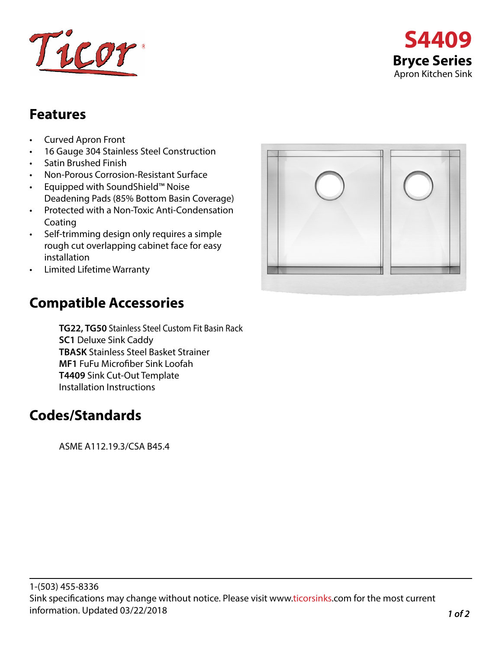



## **Features**

- Curved Apron Front
- 16 Gauge 304 Stainless Steel Construction
- Satin Brushed Finish
- Non-Porous Corrosion-Resistant Surface
- Equipped with SoundShield™ Noise Deadening Pads (85% Bottom Basin Coverage)
- Protected with a Non-Toxic Anti-Condensation Coating
- Self-trimming design only requires a simple rough cut overlapping cabinet face for easy installation
- Limited Lifetime Warranty

## **Compatible Accessories**

**TG22, TG50** Stainless Steel Custom Fit Basin Rack **SC1** Deluxe Sink Caddy **TBASK** Stainless Steel Basket Strainer **MF1** FuFu Microfiber Sink Loofah **T4409** Sink Cut-Out Template Installation Instructions

## **Codes/Standards**

ASME A112.19.3/CSA B45.4